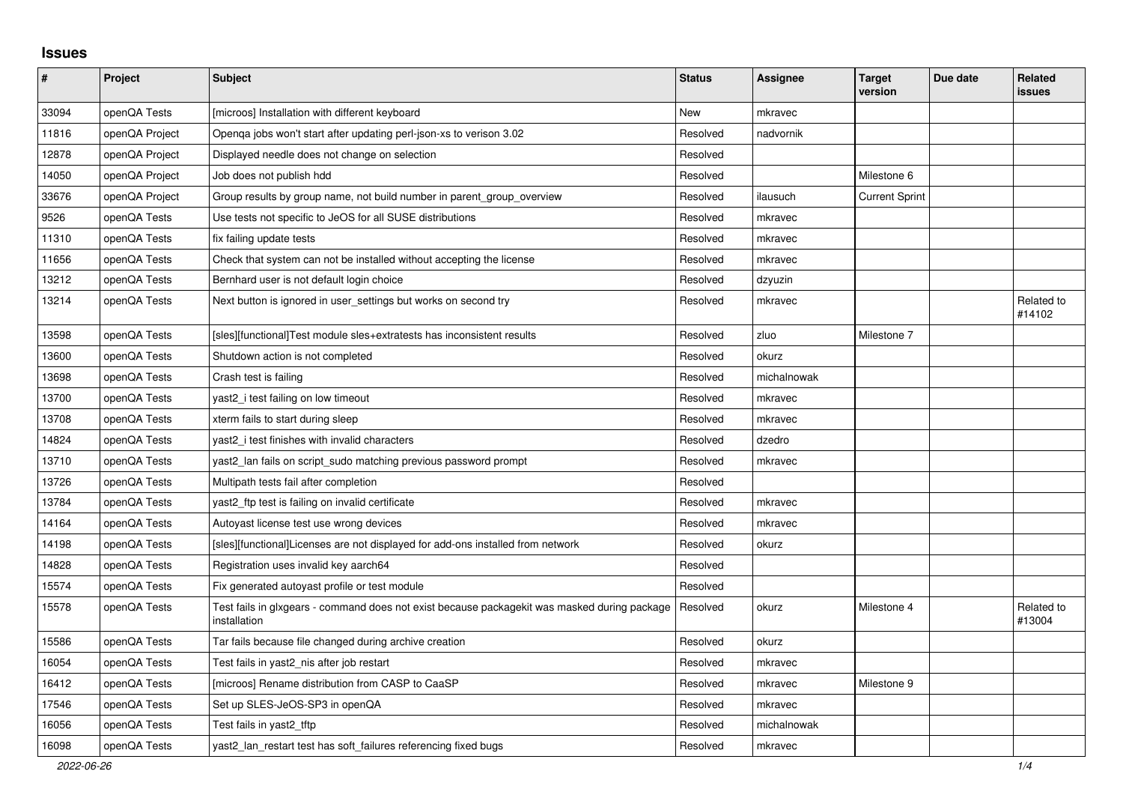## **Issues**

| $\pmb{\#}$ | Project        | <b>Subject</b>                                                                                               | <b>Status</b> | <b>Assignee</b> | <b>Target</b><br>version | Due date | <b>Related</b><br><b>issues</b> |
|------------|----------------|--------------------------------------------------------------------------------------------------------------|---------------|-----------------|--------------------------|----------|---------------------------------|
| 33094      | openQA Tests   | [microos] Installation with different keyboard                                                               | <b>New</b>    | mkravec         |                          |          |                                 |
| 11816      | openQA Project | Openqa jobs won't start after updating perl-json-xs to verison 3.02                                          | Resolved      | nadvornik       |                          |          |                                 |
| 12878      | openQA Project | Displayed needle does not change on selection                                                                | Resolved      |                 |                          |          |                                 |
| 14050      | openQA Project | Job does not publish hdd                                                                                     | Resolved      |                 | Milestone 6              |          |                                 |
| 33676      | openQA Project | Group results by group name, not build number in parent group overview                                       | Resolved      | ilausuch        | <b>Current Sprint</b>    |          |                                 |
| 9526       | openQA Tests   | Use tests not specific to JeOS for all SUSE distributions                                                    | Resolved      | mkravec         |                          |          |                                 |
| 11310      | openQA Tests   | fix failing update tests                                                                                     | Resolved      | mkravec         |                          |          |                                 |
| 11656      | openQA Tests   | Check that system can not be installed without accepting the license                                         | Resolved      | mkravec         |                          |          |                                 |
| 13212      | openQA Tests   | Bernhard user is not default login choice                                                                    | Resolved      | dzyuzin         |                          |          |                                 |
| 13214      | openQA Tests   | Next button is ignored in user_settings but works on second try                                              | Resolved      | mkravec         |                          |          | Related to<br>#14102            |
| 13598      | openQA Tests   | [sles][functional]Test module sles+extratests has inconsistent results                                       | Resolved      | zluo            | Milestone 7              |          |                                 |
| 13600      | openQA Tests   | Shutdown action is not completed                                                                             | Resolved      | okurz           |                          |          |                                 |
| 13698      | openQA Tests   | Crash test is failing                                                                                        | Resolved      | michalnowak     |                          |          |                                 |
| 13700      | openQA Tests   | yast2_i test failing on low timeout                                                                          | Resolved      | mkravec         |                          |          |                                 |
| 13708      | openQA Tests   | xterm fails to start during sleep                                                                            | Resolved      | mkravec         |                          |          |                                 |
| 14824      | openQA Tests   | yast2_i test finishes with invalid characters                                                                | Resolved      | dzedro          |                          |          |                                 |
| 13710      | openQA Tests   | yast2_lan fails on script_sudo matching previous password prompt                                             | Resolved      | mkravec         |                          |          |                                 |
| 13726      | openQA Tests   | Multipath tests fail after completion                                                                        | Resolved      |                 |                          |          |                                 |
| 13784      | openQA Tests   | yast2_ftp test is failing on invalid certificate                                                             | Resolved      | mkravec         |                          |          |                                 |
| 14164      | openQA Tests   | Autoyast license test use wrong devices                                                                      | Resolved      | mkravec         |                          |          |                                 |
| 14198      | openQA Tests   | [sles][functional]Licenses are not displayed for add-ons installed from network                              | Resolved      | okurz           |                          |          |                                 |
| 14828      | openQA Tests   | Registration uses invalid key aarch64                                                                        | Resolved      |                 |                          |          |                                 |
| 15574      | openQA Tests   | Fix generated autoyast profile or test module                                                                | Resolved      |                 |                          |          |                                 |
| 15578      | openQA Tests   | Test fails in glxgears - command does not exist because packagekit was masked during package<br>installation | Resolved      | okurz           | Milestone 4              |          | Related to<br>#13004            |
| 15586      | openQA Tests   | Tar fails because file changed during archive creation                                                       | Resolved      | okurz           |                          |          |                                 |
| 16054      | openQA Tests   | Test fails in yast2_nis after job restart                                                                    | Resolved      | mkravec         |                          |          |                                 |
| 16412      | openQA Tests   | [microos] Rename distribution from CASP to CaaSP                                                             | Resolved      | mkravec         | Milestone 9              |          |                                 |
| 17546      | openQA Tests   | Set up SLES-JeOS-SP3 in openQA                                                                               | Resolved      | mkravec         |                          |          |                                 |
| 16056      | openQA Tests   | Test fails in yast2_tftp                                                                                     | Resolved      | michalnowak     |                          |          |                                 |
| 16098      | openQA Tests   | yast2_lan_restart test has soft_failures referencing fixed bugs                                              | Resolved      | mkravec         |                          |          |                                 |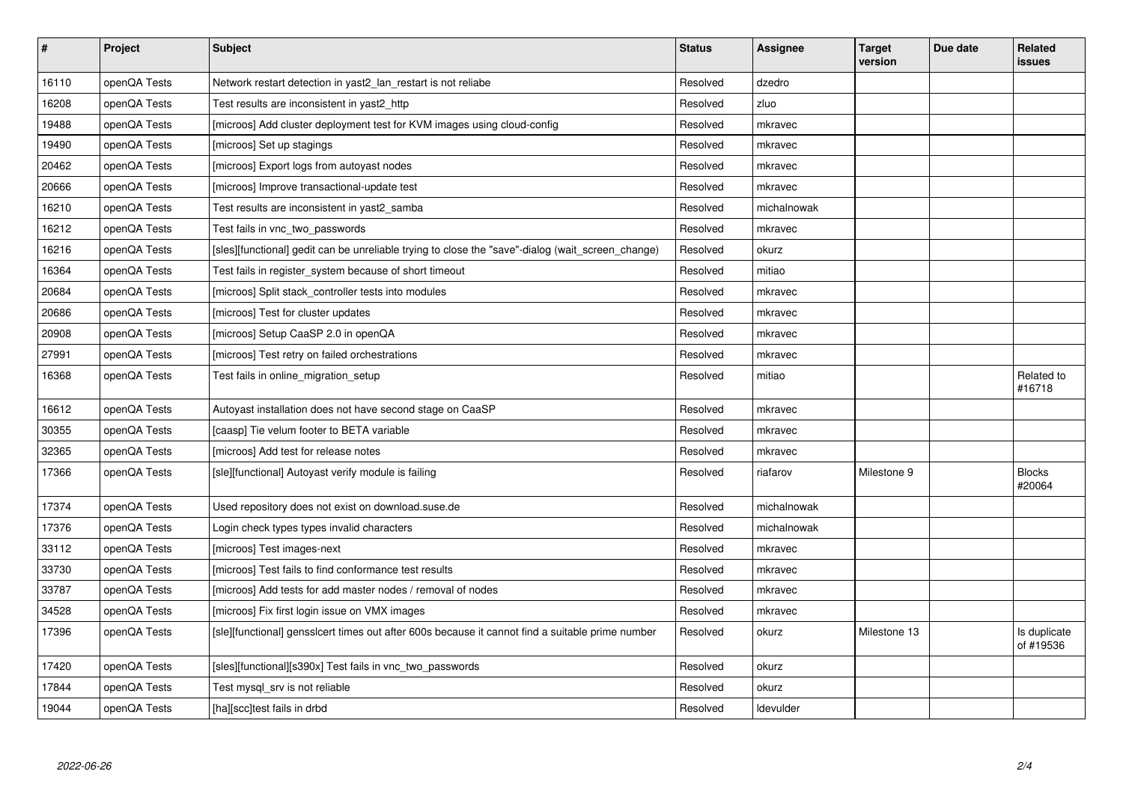| $\vert$ # | Project      | <b>Subject</b>                                                                                    | <b>Status</b> | <b>Assignee</b> | <b>Target</b><br>version | Due date | Related<br>issues         |
|-----------|--------------|---------------------------------------------------------------------------------------------------|---------------|-----------------|--------------------------|----------|---------------------------|
| 16110     | openQA Tests | Network restart detection in yast2 lan restart is not reliabe                                     | Resolved      | dzedro          |                          |          |                           |
| 16208     | openQA Tests | Test results are inconsistent in yast2 http                                                       | Resolved      | zluo            |                          |          |                           |
| 19488     | openQA Tests | [microos] Add cluster deployment test for KVM images using cloud-config                           | Resolved      | mkravec         |                          |          |                           |
| 19490     | openQA Tests | [microos] Set up stagings                                                                         | Resolved      | mkravec         |                          |          |                           |
| 20462     | openQA Tests | [microos] Export logs from autoyast nodes                                                         | Resolved      | mkravec         |                          |          |                           |
| 20666     | openQA Tests | [microos] Improve transactional-update test                                                       | Resolved      | mkravec         |                          |          |                           |
| 16210     | openQA Tests | Test results are inconsistent in yast2 samba                                                      | Resolved      | michalnowak     |                          |          |                           |
| 16212     | openQA Tests | Test fails in vnc two passwords                                                                   | Resolved      | mkravec         |                          |          |                           |
| 16216     | openQA Tests | [sles][functional] gedit can be unreliable trying to close the "save"-dialog (wait screen change) | Resolved      | okurz           |                          |          |                           |
| 16364     | openQA Tests | Test fails in register_system because of short timeout                                            | Resolved      | mitiao          |                          |          |                           |
| 20684     | openQA Tests | [microos] Split stack_controller tests into modules                                               | Resolved      | mkravec         |                          |          |                           |
| 20686     | openQA Tests | [microos] Test for cluster updates                                                                | Resolved      | mkravec         |                          |          |                           |
| 20908     | openQA Tests | [microos] Setup CaaSP 2.0 in openQA                                                               | Resolved      | mkravec         |                          |          |                           |
| 27991     | openQA Tests | [microos] Test retry on failed orchestrations                                                     | Resolved      | mkravec         |                          |          |                           |
| 16368     | openQA Tests | Test fails in online_migration_setup                                                              | Resolved      | mitiao          |                          |          | Related to<br>#16718      |
| 16612     | openQA Tests | Autoyast installation does not have second stage on CaaSP                                         | Resolved      | mkravec         |                          |          |                           |
| 30355     | openQA Tests | [caasp] Tie velum footer to BETA variable                                                         | Resolved      | mkravec         |                          |          |                           |
| 32365     | openQA Tests | [microos] Add test for release notes                                                              | Resolved      | mkravec         |                          |          |                           |
| 17366     | openQA Tests | [sle][functional] Autoyast verify module is failing                                               | Resolved      | riafarov        | Milestone 9              |          | <b>Blocks</b><br>#20064   |
| 17374     | openQA Tests | Used repository does not exist on download.suse.de                                                | Resolved      | michalnowak     |                          |          |                           |
| 17376     | openQA Tests | Login check types types invalid characters                                                        | Resolved      | michalnowak     |                          |          |                           |
| 33112     | openQA Tests | [microos] Test images-next                                                                        | Resolved      | mkravec         |                          |          |                           |
| 33730     | openQA Tests | [microos] Test fails to find conformance test results                                             | Resolved      | mkravec         |                          |          |                           |
| 33787     | openQA Tests | [microos] Add tests for add master nodes / removal of nodes                                       | Resolved      | mkravec         |                          |          |                           |
| 34528     | openQA Tests | [microos] Fix first login issue on VMX images                                                     | Resolved      | mkravec         |                          |          |                           |
| 17396     | openQA Tests | [sle][functional] gensslcert times out after 600s because it cannot find a suitable prime number  | Resolved      | okurz           | Milestone 13             |          | Is duplicate<br>of #19536 |
| 17420     | openQA Tests | [sles][functional][s390x] Test fails in vnc_two_passwords                                         | Resolved      | okurz           |                          |          |                           |
| 17844     | openQA Tests | Test mysql_srv is not reliable                                                                    | Resolved      | okurz           |                          |          |                           |
| 19044     | openQA Tests | [ha][scc]test fails in drbd                                                                       | Resolved      | Idevulder       |                          |          |                           |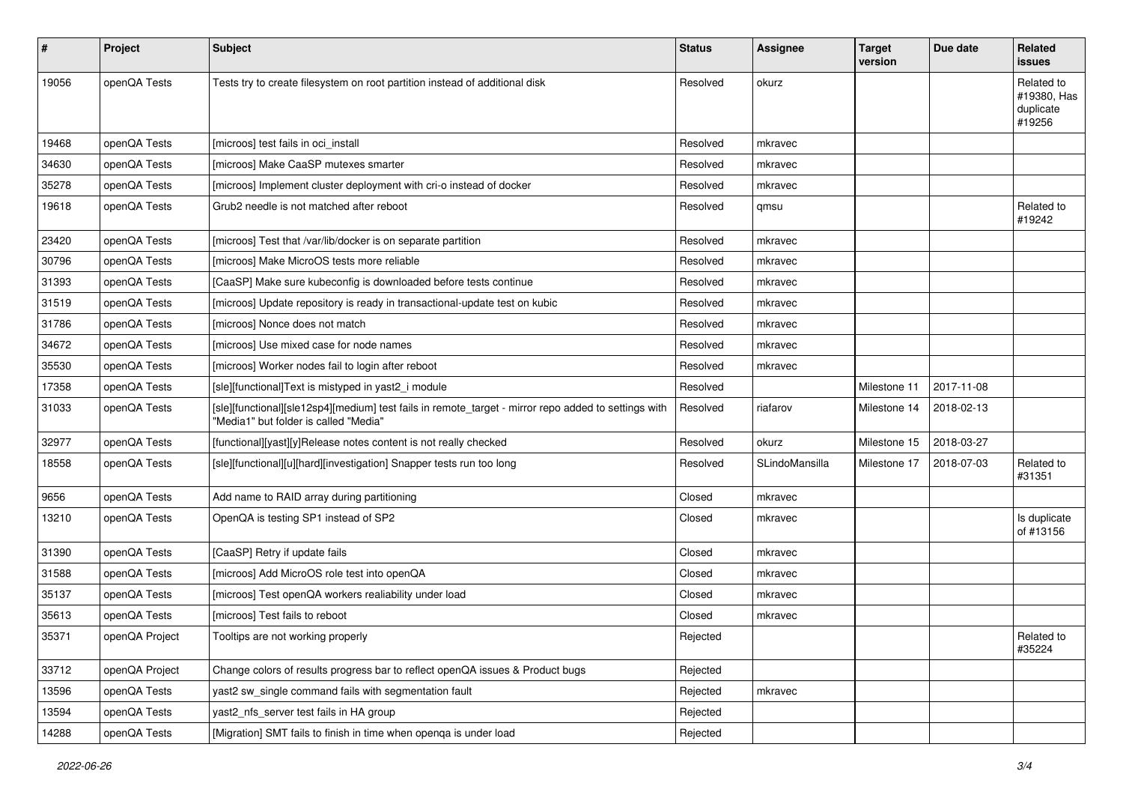| #     | Project        | Subject                                                                                                                                       | <b>Status</b> | <b>Assignee</b> | <b>Target</b><br>version | Due date   | Related<br><b>issues</b>                         |
|-------|----------------|-----------------------------------------------------------------------------------------------------------------------------------------------|---------------|-----------------|--------------------------|------------|--------------------------------------------------|
| 19056 | openQA Tests   | Tests try to create filesystem on root partition instead of additional disk                                                                   | Resolved      | okurz           |                          |            | Related to<br>#19380, Has<br>duplicate<br>#19256 |
| 19468 | openQA Tests   | [microos] test fails in oci install                                                                                                           | Resolved      | mkravec         |                          |            |                                                  |
| 34630 | openQA Tests   | [microos] Make CaaSP mutexes smarter                                                                                                          | Resolved      | mkravec         |                          |            |                                                  |
| 35278 | openQA Tests   | [microos] Implement cluster deployment with cri-o instead of docker                                                                           | Resolved      | mkravec         |                          |            |                                                  |
| 19618 | openQA Tests   | Grub2 needle is not matched after reboot                                                                                                      | Resolved      | qmsu            |                          |            | Related to<br>#19242                             |
| 23420 | openQA Tests   | [microos] Test that /var/lib/docker is on separate partition                                                                                  | Resolved      | mkravec         |                          |            |                                                  |
| 30796 | openQA Tests   | [microos] Make MicroOS tests more reliable                                                                                                    | Resolved      | mkravec         |                          |            |                                                  |
| 31393 | openQA Tests   | [CaaSP] Make sure kubeconfig is downloaded before tests continue                                                                              | Resolved      | mkravec         |                          |            |                                                  |
| 31519 | openQA Tests   | [microos] Update repository is ready in transactional-update test on kubic                                                                    | Resolved      | mkravec         |                          |            |                                                  |
| 31786 | openQA Tests   | [microos] Nonce does not match                                                                                                                | Resolved      | mkravec         |                          |            |                                                  |
| 34672 | openQA Tests   | [microos] Use mixed case for node names                                                                                                       | Resolved      | mkravec         |                          |            |                                                  |
| 35530 | openQA Tests   | [microos] Worker nodes fail to login after reboot                                                                                             | Resolved      | mkravec         |                          |            |                                                  |
| 17358 | openQA Tests   | [sle][functional]Text is mistyped in yast2_i module                                                                                           | Resolved      |                 | Milestone 11             | 2017-11-08 |                                                  |
| 31033 | openQA Tests   | [sle][functional][sle12sp4][medium] test fails in remote_target - mirror repo added to settings with<br>"Media1" but folder is called "Media" | Resolved      | riafarov        | Milestone 14             | 2018-02-13 |                                                  |
| 32977 | openQA Tests   | [functional][yast][y]Release notes content is not really checked                                                                              | Resolved      | okurz           | Milestone 15             | 2018-03-27 |                                                  |
| 18558 | openQA Tests   | [sle][functional][u][hard][investigation] Snapper tests run too long                                                                          | Resolved      | SLindoMansilla  | Milestone 17             | 2018-07-03 | Related to<br>#31351                             |
| 9656  | openQA Tests   | Add name to RAID array during partitioning                                                                                                    | Closed        | mkravec         |                          |            |                                                  |
| 13210 | openQA Tests   | OpenQA is testing SP1 instead of SP2                                                                                                          | Closed        | mkravec         |                          |            | Is duplicate<br>of #13156                        |
| 31390 | openQA Tests   | [CaaSP] Retry if update fails                                                                                                                 | Closed        | mkravec         |                          |            |                                                  |
| 31588 | openQA Tests   | [microos] Add MicroOS role test into openQA                                                                                                   | Closed        | mkravec         |                          |            |                                                  |
| 35137 | openQA Tests   | [microos] Test openQA workers realiability under load                                                                                         | Closed        | mkravec         |                          |            |                                                  |
| 35613 | openQA Tests   | [microos] Test fails to reboot                                                                                                                | Closed        | mkravec         |                          |            |                                                  |
| 35371 | openQA Project | Tooltips are not working properly                                                                                                             | Rejected      |                 |                          |            | Related to<br>#35224                             |
| 33712 | openQA Project | Change colors of results progress bar to reflect openQA issues & Product bugs                                                                 | Rejected      |                 |                          |            |                                                  |
| 13596 | openQA Tests   | yast2 sw_single command fails with segmentation fault                                                                                         | Rejected      | mkravec         |                          |            |                                                  |
| 13594 | openQA Tests   | yast2_nfs_server test fails in HA group                                                                                                       | Rejected      |                 |                          |            |                                                  |
| 14288 | openQA Tests   | [Migration] SMT fails to finish in time when openga is under load                                                                             | Rejected      |                 |                          |            |                                                  |